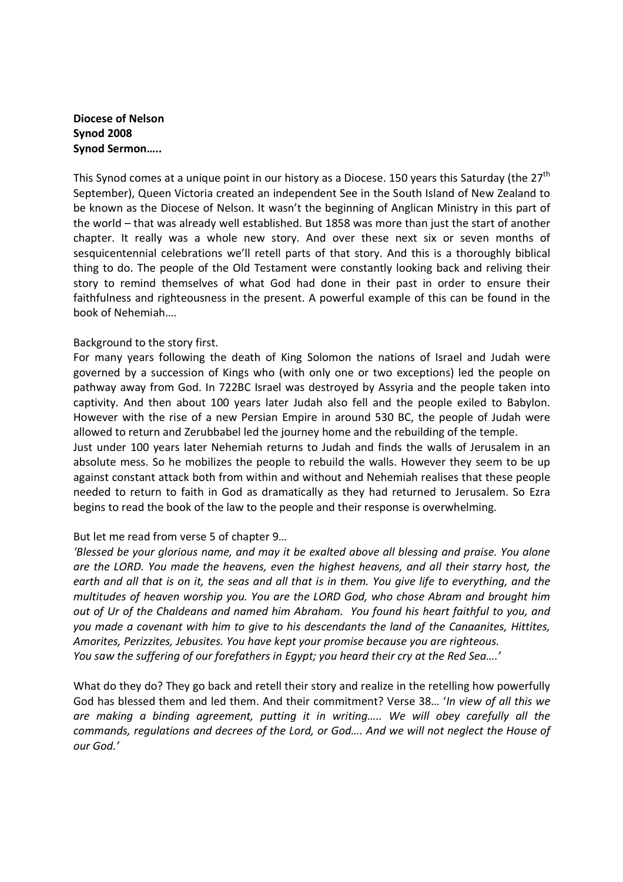# Diocese of Nelson Synod 2008 Synod Sermon…..

This Synod comes at a unique point in our history as a Diocese. 150 years this Saturday (the 27<sup>th</sup>) September), Queen Victoria created an independent See in the South Island of New Zealand to be known as the Diocese of Nelson. It wasn't the beginning of Anglican Ministry in this part of the world – that was already well established. But 1858 was more than just the start of another chapter. It really was a whole new story. And over these next six or seven months of sesquicentennial celebrations we'll retell parts of that story. And this is a thoroughly biblical thing to do. The people of the Old Testament were constantly looking back and reliving their story to remind themselves of what God had done in their past in order to ensure their faithfulness and righteousness in the present. A powerful example of this can be found in the book of Nehemiah….

# Background to the story first.

For many years following the death of King Solomon the nations of Israel and Judah were governed by a succession of Kings who (with only one or two exceptions) led the people on pathway away from God. In 722BC Israel was destroyed by Assyria and the people taken into captivity. And then about 100 years later Judah also fell and the people exiled to Babylon. However with the rise of a new Persian Empire in around 530 BC, the people of Judah were allowed to return and Zerubbabel led the journey home and the rebuilding of the temple.

Just under 100 years later Nehemiah returns to Judah and finds the walls of Jerusalem in an absolute mess. So he mobilizes the people to rebuild the walls. However they seem to be up against constant attack both from within and without and Nehemiah realises that these people needed to return to faith in God as dramatically as they had returned to Jerusalem. So Ezra begins to read the book of the law to the people and their response is overwhelming.

## But let me read from verse 5 of chapter 9…

'Blessed be your glorious name, and may it be exalted above all blessing and praise. You alone are the LORD. You made the heavens, even the highest heavens, and all their starry host, the earth and all that is on it, the seas and all that is in them. You give life to everything, and the multitudes of heaven worship you. You are the LORD God, who chose Abram and brought him out of Ur of the Chaldeans and named him Abraham. You found his heart faithful to you, and you made a covenant with him to give to his descendants the land of the Canaanites, Hittites, Amorites, Perizzites, Jebusites. You have kept your promise because you are righteous. You saw the suffering of our forefathers in Egypt; you heard their cry at the Red Sea….'

What do they do? They go back and retell their story and realize in the retelling how powerfully God has blessed them and led them. And their commitment? Verse 38... 'In view of all this we are making a binding agreement, putting it in writing….. We will obey carefully all the commands, regulations and decrees of the Lord, or God…. And we will not neglect the House of our God.'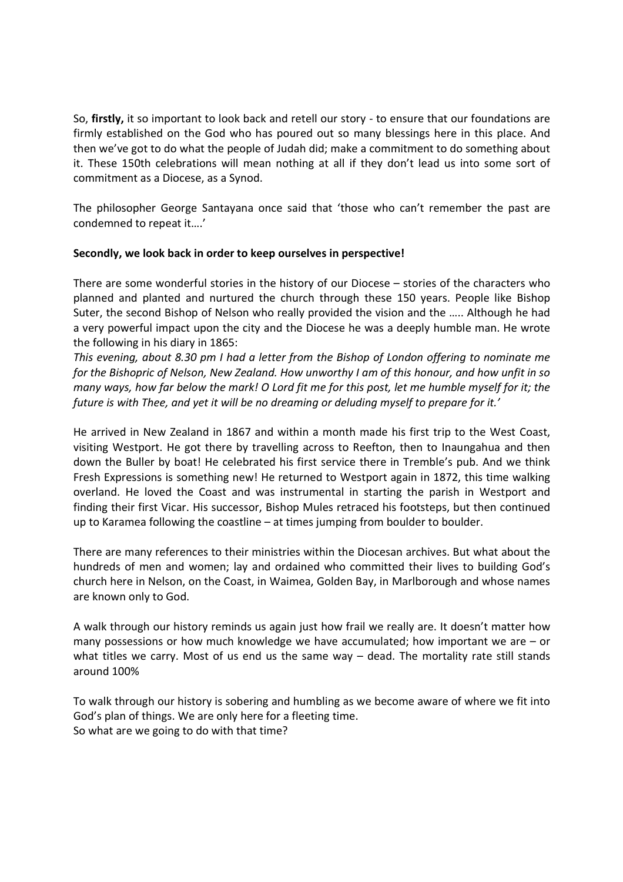So, firstly, it so important to look back and retell our story - to ensure that our foundations are firmly established on the God who has poured out so many blessings here in this place. And then we've got to do what the people of Judah did; make a commitment to do something about it. These 150th celebrations will mean nothing at all if they don't lead us into some sort of commitment as a Diocese, as a Synod.

The philosopher George Santayana once said that 'those who can't remember the past are condemned to repeat it….'

## Secondly, we look back in order to keep ourselves in perspective!

There are some wonderful stories in the history of our Diocese – stories of the characters who planned and planted and nurtured the church through these 150 years. People like Bishop Suter, the second Bishop of Nelson who really provided the vision and the ….. Although he had a very powerful impact upon the city and the Diocese he was a deeply humble man. He wrote the following in his diary in 1865:

This evening, about 8.30 pm I had a letter from the Bishop of London offering to nominate me for the Bishopric of Nelson, New Zealand. How unworthy I am of this honour, and how unfit in so many ways, how far below the mark! O Lord fit me for this post, let me humble myself for it; the future is with Thee, and yet it will be no dreaming or deluding myself to prepare for it.'

He arrived in New Zealand in 1867 and within a month made his first trip to the West Coast, visiting Westport. He got there by travelling across to Reefton, then to Inaungahua and then down the Buller by boat! He celebrated his first service there in Tremble's pub. And we think Fresh Expressions is something new! He returned to Westport again in 1872, this time walking overland. He loved the Coast and was instrumental in starting the parish in Westport and finding their first Vicar. His successor, Bishop Mules retraced his footsteps, but then continued up to Karamea following the coastline – at times jumping from boulder to boulder.

There are many references to their ministries within the Diocesan archives. But what about the hundreds of men and women; lay and ordained who committed their lives to building God's church here in Nelson, on the Coast, in Waimea, Golden Bay, in Marlborough and whose names are known only to God.

A walk through our history reminds us again just how frail we really are. It doesn't matter how many possessions or how much knowledge we have accumulated; how important we are – or what titles we carry. Most of us end us the same way – dead. The mortality rate still stands around 100%

To walk through our history is sobering and humbling as we become aware of where we fit into God's plan of things. We are only here for a fleeting time. So what are we going to do with that time?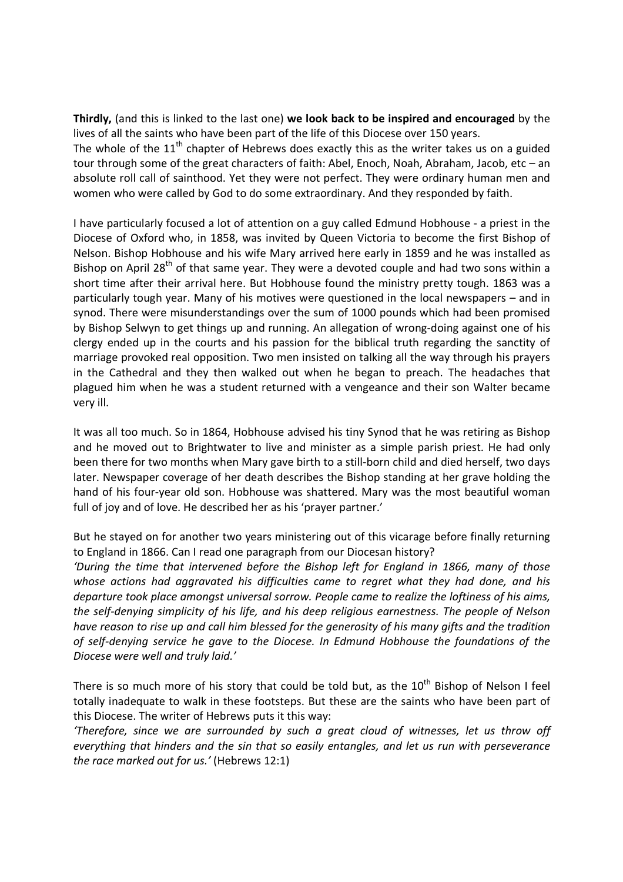Thirdly, (and this is linked to the last one) we look back to be inspired and encouraged by the lives of all the saints who have been part of the life of this Diocese over 150 years.

The whole of the  $11<sup>th</sup>$  chapter of Hebrews does exactly this as the writer takes us on a guided tour through some of the great characters of faith: Abel, Enoch, Noah, Abraham, Jacob, etc – an absolute roll call of sainthood. Yet they were not perfect. They were ordinary human men and women who were called by God to do some extraordinary. And they responded by faith.

I have particularly focused a lot of attention on a guy called Edmund Hobhouse - a priest in the Diocese of Oxford who, in 1858, was invited by Queen Victoria to become the first Bishop of Nelson. Bishop Hobhouse and his wife Mary arrived here early in 1859 and he was installed as Bishop on April  $28<sup>th</sup>$  of that same year. They were a devoted couple and had two sons within a short time after their arrival here. But Hobhouse found the ministry pretty tough. 1863 was a particularly tough year. Many of his motives were questioned in the local newspapers – and in synod. There were misunderstandings over the sum of 1000 pounds which had been promised by Bishop Selwyn to get things up and running. An allegation of wrong-doing against one of his clergy ended up in the courts and his passion for the biblical truth regarding the sanctity of marriage provoked real opposition. Two men insisted on talking all the way through his prayers in the Cathedral and they then walked out when he began to preach. The headaches that plagued him when he was a student returned with a vengeance and their son Walter became very ill.

It was all too much. So in 1864, Hobhouse advised his tiny Synod that he was retiring as Bishop and he moved out to Brightwater to live and minister as a simple parish priest. He had only been there for two months when Mary gave birth to a still-born child and died herself, two days later. Newspaper coverage of her death describes the Bishop standing at her grave holding the hand of his four-year old son. Hobhouse was shattered. Mary was the most beautiful woman full of joy and of love. He described her as his 'prayer partner.'

But he stayed on for another two years ministering out of this vicarage before finally returning to England in 1866. Can I read one paragraph from our Diocesan history?

'During the time that intervened before the Bishop left for England in 1866, many of those whose actions had aggravated his difficulties came to regret what they had done, and his departure took place amongst universal sorrow. People came to realize the loftiness of his aims, the self-denying simplicity of his life, and his deep religious earnestness. The people of Nelson have reason to rise up and call him blessed for the generosity of his many gifts and the tradition of self-denying service he gave to the Diocese. In Edmund Hobhouse the foundations of the Diocese were well and truly laid.'

There is so much more of his story that could be told but, as the  $10^{th}$  Bishop of Nelson I feel totally inadequate to walk in these footsteps. But these are the saints who have been part of this Diocese. The writer of Hebrews puts it this way:

'Therefore, since we are surrounded by such a great cloud of witnesses, let us throw off everything that hinders and the sin that so easily entangles, and let us run with perseverance the race marked out for us.' (Hebrews 12:1)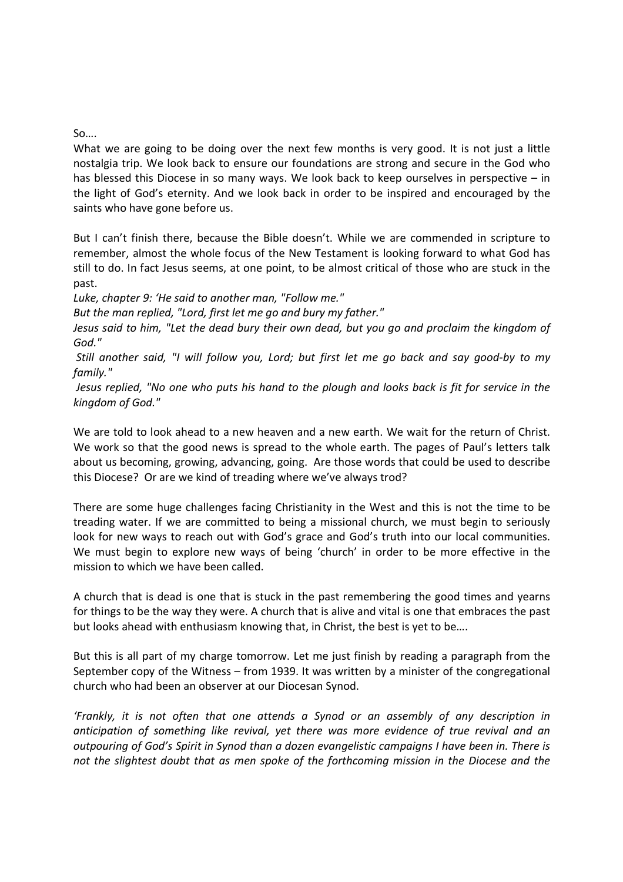## So….

What we are going to be doing over the next few months is very good. It is not just a little nostalgia trip. We look back to ensure our foundations are strong and secure in the God who has blessed this Diocese in so many ways. We look back to keep ourselves in perspective – in the light of God's eternity. And we look back in order to be inspired and encouraged by the saints who have gone before us.

But I can't finish there, because the Bible doesn't. While we are commended in scripture to remember, almost the whole focus of the New Testament is looking forward to what God has still to do. In fact Jesus seems, at one point, to be almost critical of those who are stuck in the past.

Luke, chapter 9: 'He said to another man, "Follow me."

But the man replied, "Lord, first let me go and bury my father."

Jesus said to him, "Let the dead bury their own dead, but you go and proclaim the kingdom of God."

 Still another said, "I will follow you, Lord; but first let me go back and say good-by to my family."

 Jesus replied, "No one who puts his hand to the plough and looks back is fit for service in the kingdom of God."

We are told to look ahead to a new heaven and a new earth. We wait for the return of Christ. We work so that the good news is spread to the whole earth. The pages of Paul's letters talk about us becoming, growing, advancing, going. Are those words that could be used to describe this Diocese? Or are we kind of treading where we've always trod?

There are some huge challenges facing Christianity in the West and this is not the time to be treading water. If we are committed to being a missional church, we must begin to seriously look for new ways to reach out with God's grace and God's truth into our local communities. We must begin to explore new ways of being 'church' in order to be more effective in the mission to which we have been called.

A church that is dead is one that is stuck in the past remembering the good times and yearns for things to be the way they were. A church that is alive and vital is one that embraces the past but looks ahead with enthusiasm knowing that, in Christ, the best is yet to be….

But this is all part of my charge tomorrow. Let me just finish by reading a paragraph from the September copy of the Witness – from 1939. It was written by a minister of the congregational church who had been an observer at our Diocesan Synod.

'Frankly, it is not often that one attends a Synod or an assembly of any description in anticipation of something like revival, yet there was more evidence of true revival and an outpouring of God's Spirit in Synod than a dozen evangelistic campaigns I have been in. There is not the slightest doubt that as men spoke of the forthcoming mission in the Diocese and the